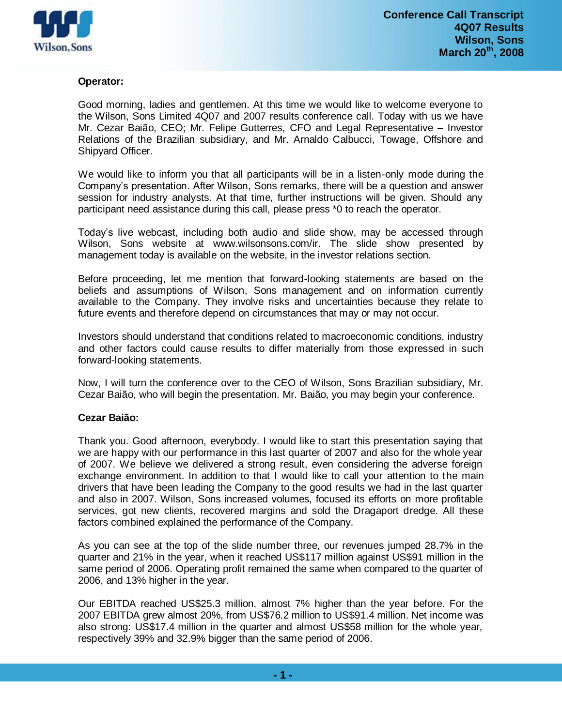

## **Operator:**

Good morning, ladies and gentlemen. At this time we would like to welcome everyone to the Wilson, Sons Limited 4Q07 and 2007 results conference call. Today with us we have Mr. Cezar Baião, CEO; Mr. Felipe Gutterres, CFO and Legal Representative – Investor Relations of the Brazilian subsidiary, and Mr. Arnaldo Calbucci, Towage, Offshore and Shipyard Officer.

We would like to inform you that all participants will be in a listen-only mode during the Company's presentation. After Wilson, Sons remarks, there will be a question and answer session for industry analysts. At that time, further instructions will be given. Should any participant need assistance during this call, please press \*0 to reach the operator.

Today's live webcast, including both audio and slide show, may be accessed through Wilson, Sons website at www.wilsonsons.com/ir. The slide show presented by management today is available on the website, in the investor relations section.

Before proceeding, let me mention that forward-looking statements are based on the beliefs and assumptions of Wilson, Sons management and on information currently available to the Company. They involve risks and uncertainties because they relate to future events and therefore depend on circumstances that may or may not occur.

Investors should understand that conditions related to macroeconomic conditions, industry and other factors could cause results to differ materially from those expressed in such forward-looking statements.

Now, I will turn the conference over to the CEO of Wilson, Sons Brazilian subsidiary, Mr. Cezar Baião, who will begin the presentation. Mr. Baião, you may begin your conference.

## **Cezar Baião:**

Thank you. Good afternoon, everybody. I would like to start this presentation saying that we are happy with our performance in this last quarter of 2007 and also for the whole year of 2007. We believe we delivered a strong result, even considering the adverse foreign exchange environment. In addition to that I would like to call your attention to the main drivers that have been leading the Company to the good results we had in the last quarter and also in 2007. Wilson, Sons increased volumes, focused its efforts on more profitable services, got new clients, recovered margins and sold the Dragaport dredge. All these factors combined explained the performance of the Company.

As you can see at the top of the slide number three, our revenues jumped 28.7% in the quarter and 21% in the year, when it reached US\$117 million against US\$91 million in the same period of 2006. Operating profit remained the same when compared to the quarter of 2006, and 13% higher in the year.

Our EBITDA reached US\$25.3 million, almost 7% higher than the year before. For the 2007 EBITDA grew almost 20%, from US\$76.2 million to US\$91.4 million. Net income was also strong: US\$17.4 million in the quarter and almost US\$58 million for the whole year, respectively 39% and 32.9% bigger than the same period of 2006.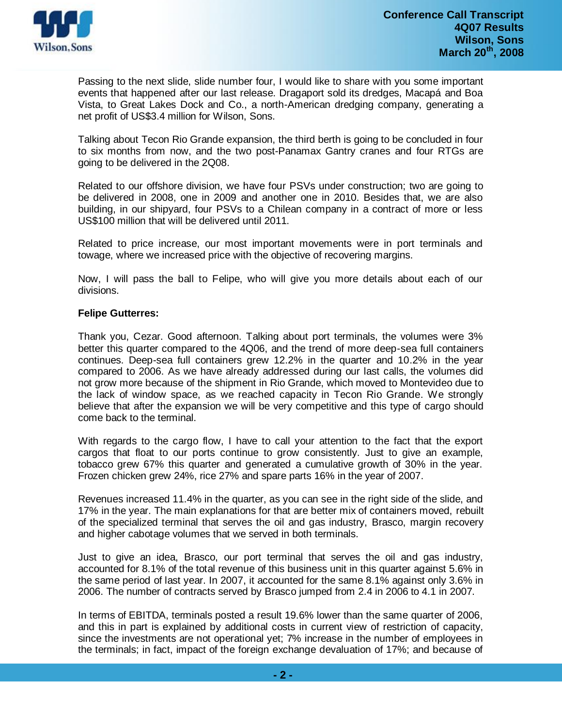

Passing to the next slide, slide number four, I would like to share with you some important events that happened after our last release. Dragaport sold its dredges, Macapá and Boa Vista, to Great Lakes Dock and Co., a north-American dredging company, generating a net profit of US\$3.4 million for Wilson, Sons.

Talking about Tecon Rio Grande expansion, the third berth is going to be concluded in four to six months from now, and the two post-Panamax Gantry cranes and four RTGs are going to be delivered in the 2Q08.

Related to our offshore division, we have four PSVs under construction; two are going to be delivered in 2008, one in 2009 and another one in 2010. Besides that, we are also building, in our shipyard, four PSVs to a Chilean company in a contract of more or less US\$100 million that will be delivered until 2011.

Related to price increase, our most important movements were in port terminals and towage, where we increased price with the objective of recovering margins.

Now, I will pass the ball to Felipe, who will give you more details about each of our divisions.

# **Felipe Gutterres:**

Thank you, Cezar. Good afternoon. Talking about port terminals, the volumes were 3% better this quarter compared to the 4Q06, and the trend of more deep-sea full containers continues. Deep-sea full containers grew 12.2% in the quarter and 10.2% in the year compared to 2006. As we have already addressed during our last calls, the volumes did not grow more because of the shipment in Rio Grande, which moved to Montevideo due to the lack of window space, as we reached capacity in Tecon Rio Grande. We strongly believe that after the expansion we will be very competitive and this type of cargo should come back to the terminal.

With regards to the cargo flow, I have to call your attention to the fact that the export cargos that float to our ports continue to grow consistently. Just to give an example, tobacco grew 67% this quarter and generated a cumulative growth of 30% in the year. Frozen chicken grew 24%, rice 27% and spare parts 16% in the year of 2007.

Revenues increased 11.4% in the quarter, as you can see in the right side of the slide, and 17% in the year. The main explanations for that are better mix of containers moved, rebuilt of the specialized terminal that serves the oil and gas industry, Brasco, margin recovery and higher cabotage volumes that we served in both terminals.

Just to give an idea, Brasco, our port terminal that serves the oil and gas industry, accounted for 8.1% of the total revenue of this business unit in this quarter against 5.6% in the same period of last year. In 2007, it accounted for the same 8.1% against only 3.6% in 2006. The number of contracts served by Brasco jumped from 2.4 in 2006 to 4.1 in 2007.

In terms of EBITDA, terminals posted a result 19.6% lower than the same quarter of 2006, and this in part is explained by additional costs in current view of restriction of capacity, since the investments are not operational yet; 7% increase in the number of employees in the terminals; in fact, impact of the foreign exchange devaluation of 17%; and because of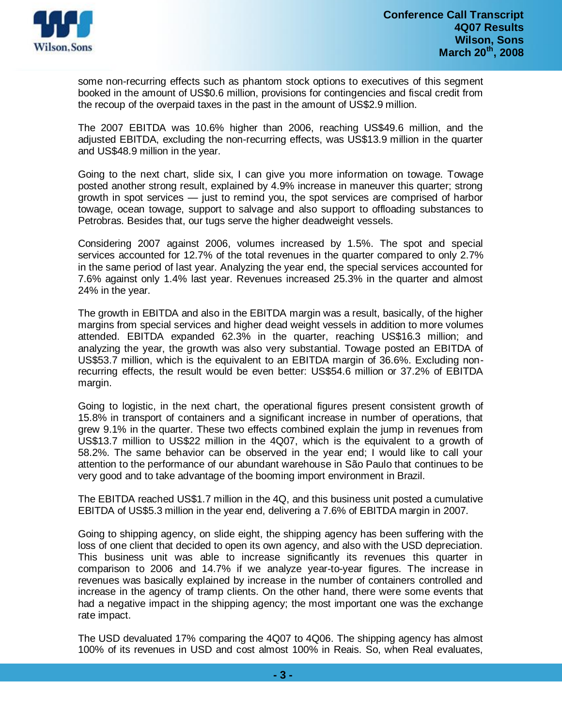

some non-recurring effects such as phantom stock options to executives of this segment booked in the amount of US\$0.6 million, provisions for contingencies and fiscal credit from the recoup of the overpaid taxes in the past in the amount of US\$2.9 million.

The 2007 EBITDA was 10.6% higher than 2006, reaching US\$49.6 million, and the adjusted EBITDA, excluding the non-recurring effects, was US\$13.9 million in the quarter and US\$48.9 million in the year.

Going to the next chart, slide six, I can give you more information on towage. Towage posted another strong result, explained by 4.9% increase in maneuver this quarter; strong growth in spot services — just to remind you, the spot services are comprised of harbor towage, ocean towage, support to salvage and also support to offloading substances to Petrobras. Besides that, our tugs serve the higher deadweight vessels.

Considering 2007 against 2006, volumes increased by 1.5%. The spot and special services accounted for 12.7% of the total revenues in the quarter compared to only 2.7% in the same period of last year. Analyzing the year end, the special services accounted for 7.6% against only 1.4% last year. Revenues increased 25.3% in the quarter and almost 24% in the year.

The growth in EBITDA and also in the EBITDA margin was a result, basically, of the higher margins from special services and higher dead weight vessels in addition to more volumes attended. EBITDA expanded 62.3% in the quarter, reaching US\$16.3 million; and analyzing the year, the growth was also very substantial. Towage posted an EBITDA of US\$53.7 million, which is the equivalent to an EBITDA margin of 36.6%. Excluding nonrecurring effects, the result would be even better: US\$54.6 million or 37.2% of EBITDA margin.

Going to logistic, in the next chart, the operational figures present consistent growth of 15.8% in transport of containers and a significant increase in number of operations, that grew 9.1% in the quarter. These two effects combined explain the jump in revenues from US\$13.7 million to US\$22 million in the 4Q07, which is the equivalent to a growth of 58.2%. The same behavior can be observed in the year end; I would like to call your attention to the performance of our abundant warehouse in São Paulo that continues to be very good and to take advantage of the booming import environment in Brazil.

The EBITDA reached US\$1.7 million in the 4Q, and this business unit posted a cumulative EBITDA of US\$5.3 million in the year end, delivering a 7.6% of EBITDA margin in 2007.

Going to shipping agency, on slide eight, the shipping agency has been suffering with the loss of one client that decided to open its own agency, and also with the USD depreciation. This business unit was able to increase significantly its revenues this quarter in comparison to 2006 and 14.7% if we analyze year-to-year figures. The increase in revenues was basically explained by increase in the number of containers controlled and increase in the agency of tramp clients. On the other hand, there were some events that had a negative impact in the shipping agency; the most important one was the exchange rate impact.

The USD devaluated 17% comparing the 4Q07 to 4Q06. The shipping agency has almost 100% of its revenues in USD and cost almost 100% in Reais. So, when Real evaluates,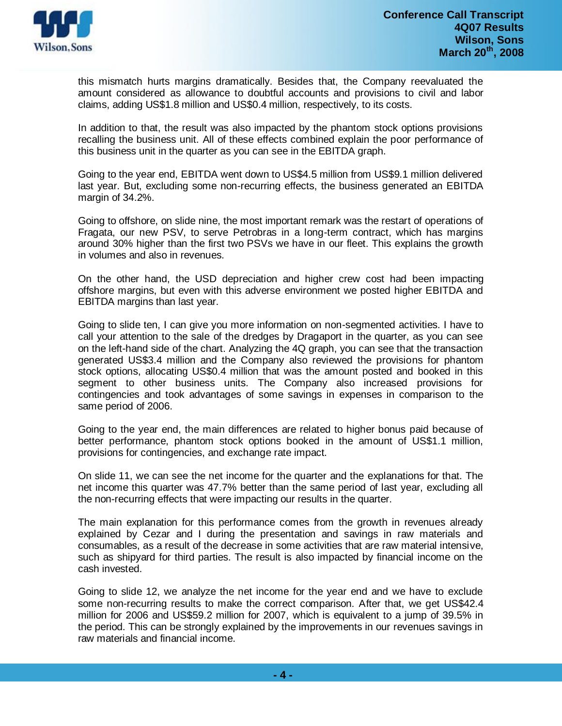

this mismatch hurts margins dramatically. Besides that, the Company reevaluated the amount considered as allowance to doubtful accounts and provisions to civil and labor claims, adding US\$1.8 million and US\$0.4 million, respectively, to its costs.

In addition to that, the result was also impacted by the phantom stock options provisions recalling the business unit. All of these effects combined explain the poor performance of this business unit in the quarter as you can see in the EBITDA graph.

Going to the year end, EBITDA went down to US\$4.5 million from US\$9.1 million delivered last year. But, excluding some non-recurring effects, the business generated an EBITDA margin of 34.2%.

Going to offshore, on slide nine, the most important remark was the restart of operations of Fragata, our new PSV, to serve Petrobras in a long-term contract, which has margins around 30% higher than the first two PSVs we have in our fleet. This explains the growth in volumes and also in revenues.

On the other hand, the USD depreciation and higher crew cost had been impacting offshore margins, but even with this adverse environment we posted higher EBITDA and EBITDA margins than last year.

Going to slide ten, I can give you more information on non-segmented activities. I have to call your attention to the sale of the dredges by Dragaport in the quarter, as you can see on the left-hand side of the chart. Analyzing the 4Q graph, you can see that the transaction generated US\$3.4 million and the Company also reviewed the provisions for phantom stock options, allocating US\$0.4 million that was the amount posted and booked in this segment to other business units. The Company also increased provisions for contingencies and took advantages of some savings in expenses in comparison to the same period of 2006.

Going to the year end, the main differences are related to higher bonus paid because of better performance, phantom stock options booked in the amount of US\$1.1 million, provisions for contingencies, and exchange rate impact.

On slide 11, we can see the net income for the quarter and the explanations for that. The net income this quarter was 47.7% better than the same period of last year, excluding all the non-recurring effects that were impacting our results in the quarter.

The main explanation for this performance comes from the growth in revenues already explained by Cezar and I during the presentation and savings in raw materials and consumables, as a result of the decrease in some activities that are raw material intensive, such as shipyard for third parties. The result is also impacted by financial income on the cash invested.

Going to slide 12, we analyze the net income for the year end and we have to exclude some non-recurring results to make the correct comparison. After that, we get US\$42.4 million for 2006 and US\$59.2 million for 2007, which is equivalent to a jump of 39.5% in the period. This can be strongly explained by the improvements in our revenues savings in raw materials and financial income.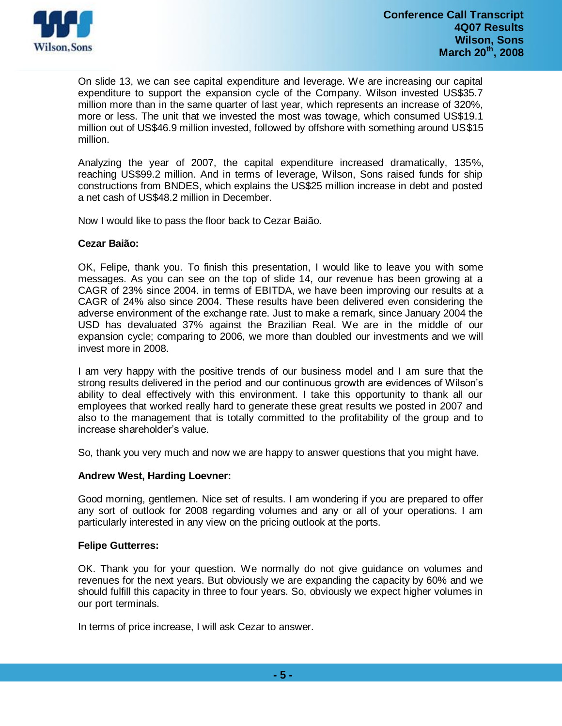

On slide 13, we can see capital expenditure and leverage. We are increasing our capital expenditure to support the expansion cycle of the Company. Wilson invested US\$35.7 million more than in the same quarter of last year, which represents an increase of 320%, more or less. The unit that we invested the most was towage, which consumed US\$19.1 million out of US\$46.9 million invested, followed by offshore with something around US\$15 million.

Analyzing the year of 2007, the capital expenditure increased dramatically, 135%, reaching US\$99.2 million. And in terms of leverage, Wilson, Sons raised funds for ship constructions from BNDES, which explains the US\$25 million increase in debt and posted a net cash of US\$48.2 million in December.

Now I would like to pass the floor back to Cezar Baião.

## **Cezar Baião:**

OK, Felipe, thank you. To finish this presentation, I would like to leave you with some messages. As you can see on the top of slide 14, our revenue has been growing at a CAGR of 23% since 2004. in terms of EBITDA, we have been improving our results at a CAGR of 24% also since 2004. These results have been delivered even considering the adverse environment of the exchange rate. Just to make a remark, since January 2004 the USD has devaluated 37% against the Brazilian Real. We are in the middle of our expansion cycle; comparing to 2006, we more than doubled our investments and we will invest more in 2008.

I am very happy with the positive trends of our business model and I am sure that the strong results delivered in the period and our continuous growth are evidences of Wilson's ability to deal effectively with this environment. I take this opportunity to thank all our employees that worked really hard to generate these great results we posted in 2007 and also to the management that is totally committed to the profitability of the group and to increase shareholder's value.

So, thank you very much and now we are happy to answer questions that you might have.

## **Andrew West, Harding Loevner:**

Good morning, gentlemen. Nice set of results. I am wondering if you are prepared to offer any sort of outlook for 2008 regarding volumes and any or all of your operations. I am particularly interested in any view on the pricing outlook at the ports.

## **Felipe Gutterres:**

OK. Thank you for your question. We normally do not give guidance on volumes and revenues for the next years. But obviously we are expanding the capacity by 60% and we should fulfill this capacity in three to four years. So, obviously we expect higher volumes in our port terminals.

In terms of price increase, I will ask Cezar to answer.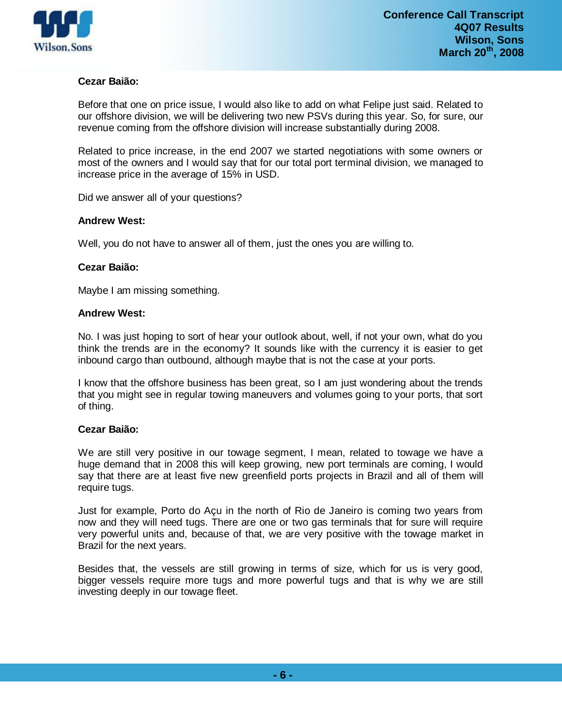

# **Cezar Baião:**

Before that one on price issue, I would also like to add on what Felipe just said. Related to our offshore division, we will be delivering two new PSVs during this year. So, for sure, our revenue coming from the offshore division will increase substantially during 2008.

Related to price increase, in the end 2007 we started negotiations with some owners or most of the owners and I would say that for our total port terminal division, we managed to increase price in the average of 15% in USD.

Did we answer all of your questions?

## **Andrew West:**

Well, you do not have to answer all of them, just the ones you are willing to.

### **Cezar Baião:**

Maybe I am missing something.

### **Andrew West:**

No. I was just hoping to sort of hear your outlook about, well, if not your own, what do you think the trends are in the economy? It sounds like with the currency it is easier to get inbound cargo than outbound, although maybe that is not the case at your ports.

I know that the offshore business has been great, so I am just wondering about the trends that you might see in regular towing maneuvers and volumes going to your ports, that sort of thing.

## **Cezar Baião:**

We are still very positive in our towage segment, I mean, related to towage we have a huge demand that in 2008 this will keep growing, new port terminals are coming, I would say that there are at least five new greenfield ports projects in Brazil and all of them will require tugs.

Just for example, Porto do Açu in the north of Rio de Janeiro is coming two years from now and they will need tugs. There are one or two gas terminals that for sure will require very powerful units and, because of that, we are very positive with the towage market in Brazil for the next years.

Besides that, the vessels are still growing in terms of size, which for us is very good, bigger vessels require more tugs and more powerful tugs and that is why we are still investing deeply in our towage fleet.